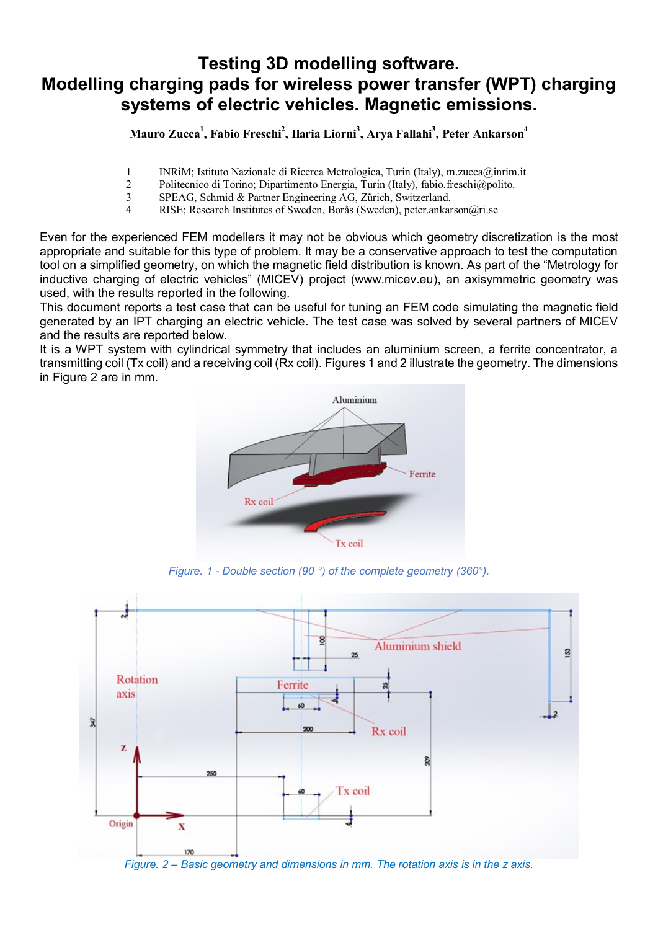## **Testing 3D modelling software. Modelling charging pads for wireless power transfer (WPT) charging systems of electric vehicles. Magnetic emissions.**

## **Mauro Zucca<sup>1</sup> , Fabio Freschi<sup>2</sup> , Ilaria Liorni<sup>3</sup> , Arya Fallahi<sup>3</sup> , Peter Ankarson<sup>4</sup>**

- 1 INRiM; Istituto Nazionale di Ricerca Metrologica, Turin (Italy), m.zucca@inrim.it
- 2 Politecnico di Torino; Dipartimento Energia, Turin (Italy), fabio.freschi@polito.
- 3 SPEAG, Schmid & Partner Engineering AG, Zürich, Switzerland.
- 4 RISE; Research Institutes of Sweden, Borås (Sweden), peter.ankarson@ri.se

Even for the experienced FEM modellers it may not be obvious which geometry discretization is the most appropriate and suitable for this type of problem. It may be a conservative approach to test the computation tool on a simplified geometry, on which the magnetic field distribution is known. As part of the "Metrology for inductive charging of electric vehicles" (MICEV) project (www.micev.eu), an axisymmetric geometry was used, with the results reported in the following.

This document reports a test case that can be useful for tuning an FEM code simulating the magnetic field generated by an IPT charging an electric vehicle. The test case was solved by several partners of MICEV and the results are reported below.

It is a WPT system with cylindrical symmetry that includes an aluminium screen, a ferrite concentrator, a transmitting coil (Tx coil) and a receiving coil (Rx coil). Figures 1 and 2 illustrate the geometry. The dimensions in Figure 2 are in mm.



*Figure. 1 - Double section (90 °) of the complete geometry (360°).*



*Figure. 2 – Basic geometry and dimensions in mm. The rotation axis is in the z axis.*